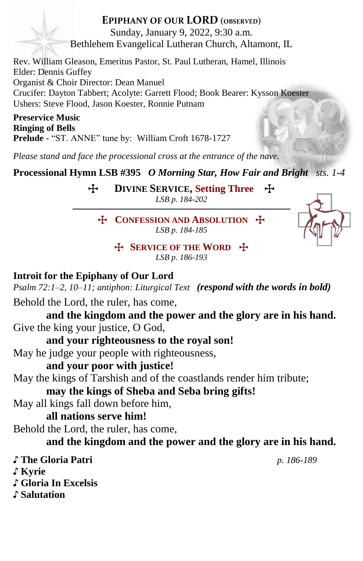#### **EPIPHANY OF OUR LORD (OBSERVED)** Sunday, January 9, 2022, 9:30 a.m.

Bethlehem Evangelical Lutheran Church, Altamont, IL

Rev. William Gleason, Emeritus Pastor, St. Paul Lutheran, Hamel, Illinois Elder: Dennis Guffey Organist & Choir Director: Dean Manuel Crucifer: Dayton Tabbert; Acolyte: Garrett Flood; Book Bearer: Kysson Koester Ushers: Steve Flood, Jason Koester, Ronnie Putnam

**Preservice Music Ringing of Bells Prelude -** "ST. ANNE" tune by: William Croft 1678-1727

*Please stand and face the processional cross at the entrance of the nave.*

**Processional Hymn LSB #395** *O Morning Star, How Fair and Bright**sts. 1-4*

T **DIVINE SERVICE, Setting Three** T *LSB p. 184-202*

T **CONFESSION AND ABSOLUTION** T *LSB p. 184-185*



T **SERVICE OF THE WORD** T *LSB p. 186-193*

### **Introit for the Epiphany of Our Lord**

*Psalm 72:1–2, 10–11; antiphon: Liturgical Text (respond with the words in bold)*

Behold the Lord, the ruler, has come,

**and the kingdom and the power and the glory are in his hand.** Give the king your justice, O God,

**and your righteousness to the royal son!**

May he judge your people with righteousness,

### **and your poor with justice!**

May the kings of Tarshish and of the coastlands render him tribute;

**may the kings of Sheba and Seba bring gifts!**

May all kings fall down before him,

### **all nations serve him!**

Behold the Lord, the ruler, has come,

### **and the kingdom and the power and the glory are in his hand.**

♪ **The Gloria Patri** *p. 186-189* ♪ **Kyrie**

♪ **Gloria In Excelsis** ♪ **Salutation**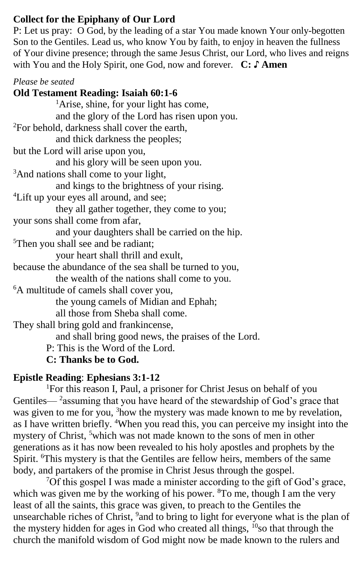#### **Collect for the Epiphany of Our Lord**

P: Let us pray: O God, by the leading of a star You made known Your only-begotten Son to the Gentiles. Lead us, who know You by faith, to enjoy in heaven the fullness of Your divine presence; through the same Jesus Christ, our Lord, who lives and reigns with You and the Holy Spirit, one God, now and forever. **C: ♪ Amen**

#### *Please be seated*

**Old Testament Reading: Isaiah 60:1-6** <sup>1</sup>Arise, shine, for your light has come, and the glory of the Lord has risen upon you. <sup>2</sup>For behold, darkness shall cover the earth, and thick darkness the peoples; but the Lord will arise upon you, and his glory will be seen upon you. <sup>3</sup>And nations shall come to your light, and kings to the brightness of your rising. <sup>4</sup>Lift up your eyes all around, and see; they all gather together, they come to you; your sons shall come from afar, and your daughters shall be carried on the hip. <sup>5</sup>Then you shall see and be radiant; your heart shall thrill and exult, because the abundance of the sea shall be turned to you, the wealth of the nations shall come to you. <sup>6</sup>A multitude of camels shall cover you, the young camels of Midian and Ephah; all those from Sheba shall come. They shall bring gold and frankincense, and shall bring good news, the praises of the Lord. P: This is the Word of the Lord.

#### **C: Thanks be to God.**

#### **Epistle Reading**: **Ephesians 3:1-12**

<sup>1</sup>For this reason I, Paul, a prisoner for Christ Jesus on behalf of you Gentiles—<sup>2</sup> assuming that you have heard of the stewardship of God's grace that was given to me for you, <sup>3</sup>how the mystery was made known to me by revelation, as I have written briefly. <sup>4</sup>When you read this, you can perceive my insight into the mystery of Christ, <sup>5</sup>which was not made known to the sons of men in other generations as it has now been revealed to his holy apostles and prophets by the Spirit. <sup>6</sup>This mystery is that the Gentiles are fellow heirs, members of the same body, and partakers of the promise in Christ Jesus through the gospel.

<sup>7</sup>Of this gospel I was made a minister according to the gift of God's grace, which was given me by the working of his power.  ${}^{8}$ To me, though I am the very least of all the saints, this grace was given, to preach to the Gentiles the unsearchable riches of Christ, <sup>9</sup> and to bring to light for everyone what is the plan of the mystery hidden for ages in God who created all things,  $^{10}$ so that through the church the manifold wisdom of God might now be made known to the rulers and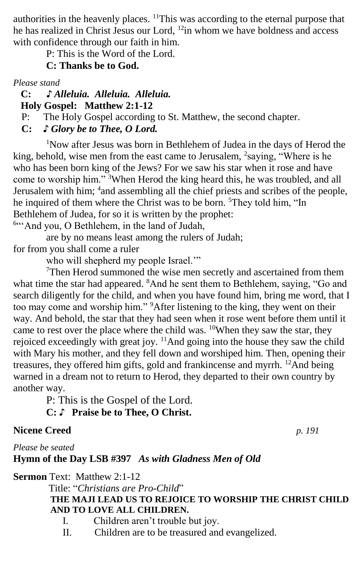authorities in the heavenly places. <sup>11</sup>This was according to the eternal purpose that he has realized in Christ Jesus our Lord, <sup>12</sup>in whom we have boldness and access with confidence through our faith in him.

P: This is the Word of the Lord.

#### **C: Thanks be to God.**

*Please stand*

 **C: ♪** *Alleluia. Alleluia. Alleluia.*  **Holy Gospel: Matthew 2:1-12**

P: The Holy Gospel according to St. Matthew, the second chapter.

**C:** *♪ Glory be to Thee, O Lord.*

<sup>1</sup>Now after Jesus was born in Bethlehem of Judea in the days of Herod the king, behold, wise men from the east came to Jerusalem, <sup>2</sup>saying, "Where is he who has been born king of the Jews? For we saw his star when it rose and have come to worship him." <sup>3</sup>When Herod the king heard this, he was troubled, and all Jerusalem with him; <sup>4</sup> and assembling all the chief priests and scribes of the people, he inquired of them where the Christ was to be born. <sup>5</sup>They told him, "In Bethlehem of Judea, for so it is written by the prophet:

<sup>6444</sup> And you, O Bethlehem, in the land of Judah,

are by no means least among the rulers of Judah; for from you shall come a ruler

who will shepherd my people Israel."

 $7$ Then Herod summoned the wise men secretly and ascertained from them what time the star had appeared. <sup>8</sup>And he sent them to Bethlehem, saying, "Go and search diligently for the child, and when you have found him, bring me word, that I too may come and worship him." <sup>9</sup>After listening to the king, they went on their way. And behold, the star that they had seen when it rose went before them until it came to rest over the place where the child was. <sup>10</sup>When they saw the star, they rejoiced exceedingly with great joy. <sup>11</sup>And going into the house they saw the child with Mary his mother, and they fell down and worshiped him. Then, opening their treasures, they offered him gifts, gold and frankincense and myrrh. <sup>12</sup>And being warned in a dream not to return to Herod, they departed to their own country by another way.

P: This is the Gospel of the Lord. **C:** ♪ **Praise be to Thee, O Christ.**

### **Nicene Creed** *p. 191*

*Please be seated*

**Hymn of the Day LSB #397** *As with Gladness Men of Old*

**Sermon** Text: Matthew 2:1-12

Title: "*Christians are Pro-Child*"

#### **THE MAJI LEAD US TO REJOICE TO WORSHIP THE CHRIST CHILD AND TO LOVE ALL CHILDREN.**

- I. Children aren't trouble but joy.
- II. Children are to be treasured and evangelized.